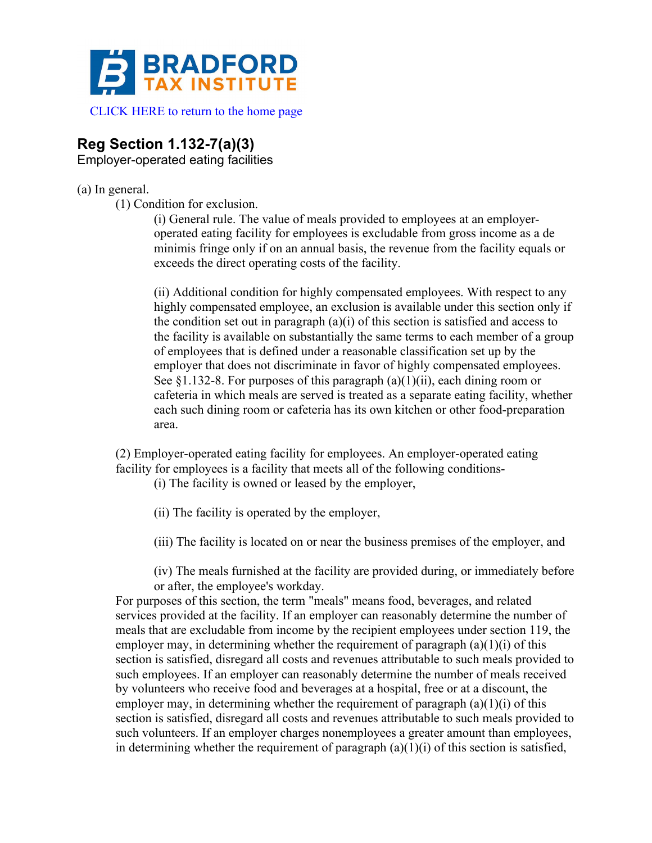

[CLICK HERE to return to the home page](www.bradfordtaxinstitute.com)

## **Reg Section 1.132-7(a)(3)**

Employer-operated eating facilities

## (a) In general.

(1) Condition for exclusion.

(i) General rule. The value of meals provided to employees at an employeroperated eating facility for employees is excludable from gross income as a de minimis fringe only if on an annual basis, the revenue from the facility equals or exceeds the direct operating costs of the facility.

(ii) Additional condition for highly compensated employees. With respect to any highly compensated employee, an exclusion is available under this section only if the condition set out in paragraph (a)(i) of this section is satisfied and access to the facility is available on substantially the same terms to each member of a group of employees that is defined under a reasonable classification set up by the employer that does not discriminate in favor of highly compensated employees. See  $\S 1.132-8$ . For purposes of this paragraph  $(a)(1)(ii)$ , each dining room or cafeteria in which meals are served is treated as a separate eating facility, whether each such dining room or cafeteria has its own kitchen or other food-preparation area.

(2) Employer-operated eating facility for employees. An employer-operated eating facility for employees is a facility that meets all of the following conditions-

(i) The facility is owned or leased by the employer,

(ii) The facility is operated by the employer,

(iii) The facility is located on or near the business premises of the employer, and

(iv) The meals furnished at the facility are provided during, or immediately before or after, the employee's workday.

For purposes of this section, the term "meals" means food, beverages, and related services provided at the facility. If an employer can reasonably determine the number of meals that are excludable from income by the recipient employees under section 119, the employer may, in determining whether the requirement of paragraph  $(a)(1)(i)$  of this section is satisfied, disregard all costs and revenues attributable to such meals provided to such employees. If an employer can reasonably determine the number of meals received by volunteers who receive food and beverages at a hospital, free or at a discount, the employer may, in determining whether the requirement of paragraph  $(a)(1)(i)$  of this section is satisfied, disregard all costs and revenues attributable to such meals provided to such volunteers. If an employer charges nonemployees a greater amount than employees, in determining whether the requirement of paragraph  $(a)(1)(i)$  of this section is satisfied,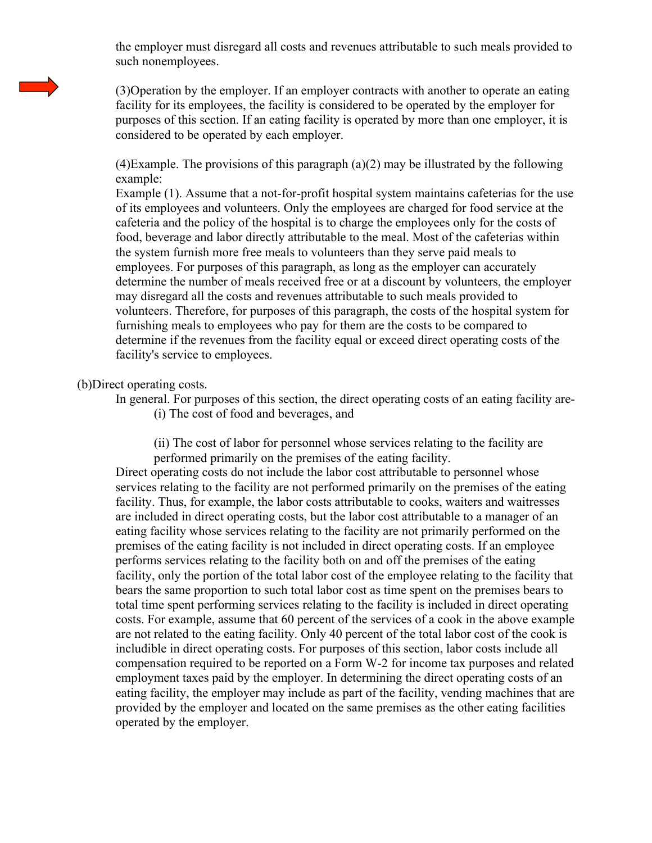the employer must disregard all costs and revenues attributable to such meals provided to such nonemployees.

(3)Operation by the employer. If an employer contracts with another to operate an eating facility for its employees, the facility is considered to be operated by the employer for purposes of this section. If an eating facility is operated by more than one employer, it is considered to be operated by each employer.

(4)Example. The provisions of this paragraph (a)(2) may be illustrated by the following example:

Example (1). Assume that a not-for-profit hospital system maintains cafeterias for the use of its employees and volunteers. Only the employees are charged for food service at the cafeteria and the policy of the hospital is to charge the employees only for the costs of food, beverage and labor directly attributable to the meal. Most of the cafeterias within the system furnish more free meals to volunteers than they serve paid meals to employees. For purposes of this paragraph, as long as the employer can accurately determine the number of meals received free or at a discount by volunteers, the employer may disregard all the costs and revenues attributable to such meals provided to volunteers. Therefore, for purposes of this paragraph, the costs of the hospital system for furnishing meals to employees who pay for them are the costs to be compared to determine if the revenues from the facility equal or exceed direct operating costs of the facility's service to employees.

## (b)Direct operating costs.

- In general. For purposes of this section, the direct operating costs of an eating facility are-
	- (i) The cost of food and beverages, and

(ii) The cost of labor for personnel whose services relating to the facility are performed primarily on the premises of the eating facility.

Direct operating costs do not include the labor cost attributable to personnel whose services relating to the facility are not performed primarily on the premises of the eating facility. Thus, for example, the labor costs attributable to cooks, waiters and waitresses are included in direct operating costs, but the labor cost attributable to a manager of an eating facility whose services relating to the facility are not primarily performed on the premises of the eating facility is not included in direct operating costs. If an employee performs services relating to the facility both on and off the premises of the eating facility, only the portion of the total labor cost of the employee relating to the facility that bears the same proportion to such total labor cost as time spent on the premises bears to total time spent performing services relating to the facility is included in direct operating costs. For example, assume that 60 percent of the services of a cook in the above example are not related to the eating facility. Only 40 percent of the total labor cost of the cook is includible in direct operating costs. For purposes of this section, labor costs include all compensation required to be reported on a Form W-2 for income tax purposes and related employment taxes paid by the employer. In determining the direct operating costs of an eating facility, the employer may include as part of the facility, vending machines that are provided by the employer and located on the same premises as the other eating facilities operated by the employer.